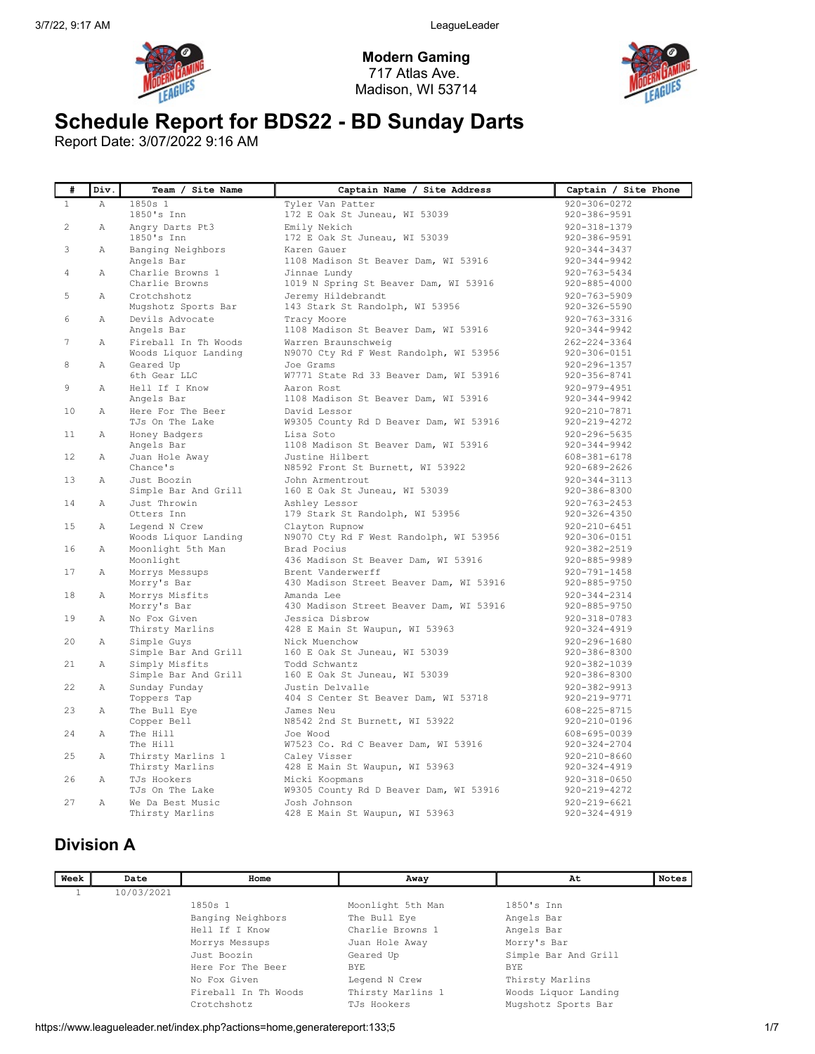

Modern Gaming 717 Atlas Ave. Madison, WI 53714



# Schedule Report for BDS22 - BD Sunday Darts

Report Date: 3/07/2022 9:16 AM

| #               | Div.           | Team / Site Name                             | Captain Name / Site Address                                   | Captain / Site Phone                     |
|-----------------|----------------|----------------------------------------------|---------------------------------------------------------------|------------------------------------------|
| $\mathbf{1}$    | $\mathbb{A}$   | 1850s 1                                      | Tyler Van Patter                                              | 920-306-0272                             |
|                 |                | 1850's Inn                                   | 172 E Oak St Juneau, WI 53039                                 | 920-386-9591                             |
| $\overline{2}$  | $\mathbb{A}$   | Angry Darts Pt3                              | Emily Nekich                                                  | $920 - 318 - 1379$                       |
|                 |                | 1850's Inn                                   | 172 E Oak St Juneau, WI 53039                                 | 920-386-9591                             |
| 3               | Α              | Banging Neighbors                            | Karen Gauer                                                   | $920 - 344 - 3437$                       |
|                 |                | Angels Bar                                   | 1108 Madison St Beaver Dam, WI 53916                          | 920-344-9942                             |
| 4               | Α              | Charlie Browns 1                             | Jinnae Lundy                                                  | $920 - 763 - 5434$                       |
|                 |                | Charlie Browns                               | 1019 N Spring St Beaver Dam, WI 53916                         | 920-885-4000                             |
| 5               | $\mathbb{A}$   | Crotchshotz                                  | Jeremy Hildebrandt                                            | $920 - 763 - 5909$                       |
|                 |                | Mugshotz Sports Bar                          | 143 Stark St Randolph, WI 53956                               | 920-326-5590                             |
| 6               | Α              | Devils Advocate                              | Tracy Moore<br>1108 Madison St Beaver Dam, WI 53916           | $920 - 763 - 3316$<br>$920 - 344 - 9942$ |
|                 |                | Angels Bar                                   |                                                               |                                          |
| 7               | Α              | Fireball In Th Woods<br>Woods Liquor Landing | Warren Braunschweig<br>N9070 Cty Rd F West Randolph, WI 53956 | $262 - 224 - 3364$<br>920-306-0151       |
| 8               | $\mathbb{A}$   | Geared Up                                    | Joe Grams                                                     | $920 - 296 - 1357$                       |
|                 |                | 6th Gear LLC                                 | W7771 State Rd 33 Beaver Dam, WI 53916                        | $920 - 356 - 8741$                       |
| 9               | $\overline{A}$ | Hell If I Know                               | Aaron Rost                                                    | $920 - 979 - 4951$                       |
|                 |                | Angels Bar                                   | 1108 Madison St Beaver Dam, WI 53916                          | $920 - 344 - 9942$                       |
| 10              | Α              | Here For The Beer                            | David Lessor                                                  | 920-210-7871                             |
|                 |                | TJs On The Lake                              | W9305 County Rd D Beaver Dam, WI 53916                        | 920-219-4272                             |
| 11              | Α              | Honey Badgers                                | Lisa Soto                                                     | $920 - 296 - 5635$                       |
|                 |                | Angels Bar                                   | 1108 Madison St Beaver Dam, WI 53916                          | 920-344-9942                             |
| 12 <sup>°</sup> | $\mathbb{A}$   | Juan Hole Away                               | Justine Hilbert                                               | $608 - 381 - 6178$                       |
|                 |                | Chance's                                     | N8592 Front St Burnett, WI 53922                              | $920 - 689 - 2626$                       |
| 13              | $\mathbb{A}$   | Just Boozin                                  | John Armentrout                                               | $920 - 344 - 3113$                       |
|                 |                | Simple Bar And Grill                         | 160 E Oak St Juneau, WI 53039                                 | 920-386-8300                             |
| 14              | Α              | Just Throwin                                 | Ashley Lessor                                                 | $920 - 763 - 2453$                       |
|                 |                | Otters Inn                                   | 179 Stark St Randolph, WI 53956                               | 920-326-4350                             |
| 15              | $\mathbb{A}$   | Legend N Crew                                | Clayton Rupnow                                                | $920 - 210 - 6451$                       |
|                 |                | Woods Liquor Landing                         | N9070 Cty Rd F West Randolph, WI 53956                        | 920-306-0151                             |
| 16              | $\mathbb{A}$   | Moonlight 5th Man                            | Brad Pocius                                                   | $920 - 382 - 2519$                       |
|                 |                | Moonlight                                    | 436 Madison St Beaver Dam, WI 53916                           | 920-885-9989                             |
| 17              | Α              | Morrys Messups                               | Brent Vanderwerff                                             | $920 - 791 - 1458$                       |
|                 |                | Morry's Bar                                  | 430 Madison Street Beaver Dam, WI 53916                       | 920-885-9750                             |
| 18              | Α              | Morrys Misfits                               | Amanda Lee                                                    | $920 - 344 - 2314$                       |
|                 |                | Morry's Bar                                  | 430 Madison Street Beaver Dam, WI 53916                       | 920-885-9750                             |
| 19              | $\mathbb{A}$   | No Fox Given<br>Thirsty Marlins              | Jessica Disbrow<br>428 E Main St Waupun, WI 53963             | 920-318-0783<br>$920 - 324 - 4919$       |
| 20              | Α              | Simple Guys                                  | Nick Muenchow                                                 | $920 - 296 - 1680$                       |
|                 |                | Simple Bar And Grill                         | 160 E Oak St Juneau, WI 53039                                 | $920 - 386 - 8300$                       |
| $21 -$          | Α              | Simply Misfits                               | Todd Schwantz                                                 | 920-382-1039                             |
|                 |                | Simple Bar And Grill                         | 160 E Oak St Juneau, WI 53039                                 | 920-386-8300                             |
| 22.             | $\mathbb{A}$   | Sunday Funday                                | Justin Delvalle                                               | $920 - 382 - 9913$                       |
|                 |                | Toppers Tap                                  | 404 S Center St Beaver Dam, WI 53718                          | 920-219-9771                             |
| 23              | $\mathbb{A}$   | The Bull Eye                                 | James Neu                                                     | 608-225-8715                             |
|                 |                | Copper Bell                                  | N8542 2nd St Burnett, WI 53922                                | $920 - 210 - 0196$                       |
| 24              | Α              | The Hill                                     | Joe Wood                                                      | 608-695-0039                             |
|                 |                | The Hill                                     | W7523 Co. Rd C Beaver Dam, WI 53916                           | 920-324-2704                             |
| 25              | Α              | Thirsty Marlins 1                            | Caley Visser                                                  | $920 - 210 - 8660$                       |
|                 |                | Thirsty Marlins                              | 428 E Main St Waupun, WI 53963                                | $920 - 324 - 4919$                       |
| 26              | $\mathbb{A}$   | TJs Hookers                                  | Micki Koopmans                                                | $920 - 318 - 0650$                       |
|                 |                | TJs On The Lake                              | W9305 County Rd D Beaver Dam, WI 53916                        | $920 - 219 - 4272$                       |
| 27              | $\mathbb{A}$   | We Da Best Music                             | Josh Johnson                                                  | $920 - 219 - 6621$                       |
|                 |                | Thirsty Marlins                              | 428 E Main St Waupun, WI 53963                                | $920 - 324 - 4919$                       |

## Division A

| Week | Date       | Home                 | Away              | At                   | <b>Notes</b> |
|------|------------|----------------------|-------------------|----------------------|--------------|
|      | 10/03/2021 |                      |                   |                      |              |
|      |            | $1850s$ 1            | Moonlight 5th Man | $1850's$ Tnn         |              |
|      |            | Banging Neighbors    | The Bull Eye      | Angels Bar           |              |
|      |            | Hell If I Know       | Charlie Browns 1  | Angels Bar           |              |
|      |            | Morrys Messups       | Juan Hole Away    | Morry's Bar          |              |
|      |            | Just Boozin          | Geared Up         | Simple Bar And Grill |              |
|      |            | Here For The Beer    | BYE               | <b>BYE</b>           |              |
|      |            | No Fox Given         | Legend N Crew     | Thirsty Marlins      |              |
|      |            | Fireball In Th Woods | Thirsty Marlins 1 | Woods Liquor Landing |              |
|      |            | Crotchshotz          | TJs Hookers       | Mugshotz Sports Bar  |              |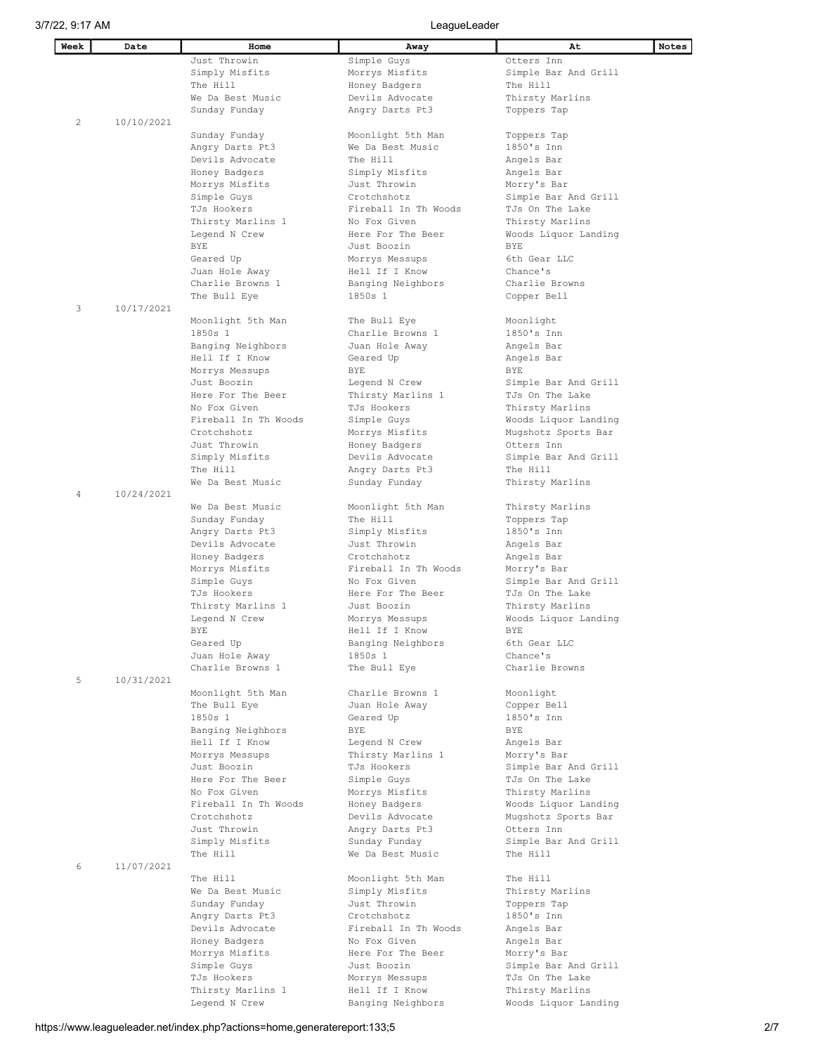L

| Week | Date       | Home                               | Away                                 | At                                      | Notes |
|------|------------|------------------------------------|--------------------------------------|-----------------------------------------|-------|
|      |            | Just Throwin                       | Simple Guys                          | Otters Inn                              |       |
|      |            | Simply Misfits                     | Morrys Misfits                       | Simple Bar And Grill                    |       |
|      |            | The Hill                           | Honey Badgers                        | The Hill                                |       |
|      |            | We Da Best Music                   | Devils Advocate                      | Thirsty Marlins                         |       |
|      |            | Sunday Funday                      | Angry Darts Pt3                      | Toppers Tap                             |       |
| 2    | 10/10/2021 |                                    |                                      |                                         |       |
|      |            | Sunday Funday                      | Moonlight 5th Man                    | Toppers Tap                             |       |
|      |            | Angry Darts Pt3                    | We Da Best Music                     | 1850's Inn                              |       |
|      |            | Devils Advocate                    | The Hill                             | Angels Bar                              |       |
|      |            | Honey Badgers                      | Simply Misfits                       | Angels Bar                              |       |
|      |            | Morrys Misfits                     | Just Throwin                         | Morry's Bar                             |       |
|      |            | Simple Guys                        | Crotchshotz                          | Simple Bar And Grill                    |       |
|      |            | TJs Hookers                        | Fireball In Th Woods                 | TJs On The Lake                         |       |
|      |            | Thirsty Marlins 1                  | No Fox Given                         | Thirsty Marlins                         |       |
|      |            | Legend N Crew                      | Here For The Beer                    | Woods Liquor Landing                    |       |
|      |            | BYE                                | Just Boozin                          | BYE                                     |       |
|      |            | Geared Up                          | Morrys Messups                       | 6th Gear LLC                            |       |
|      |            | Juan Hole Away                     | Hell If I Know                       | Chance's                                |       |
|      |            | Charlie Browns 1                   | Banging Neighbors                    | Charlie Browns                          |       |
|      |            | The Bull Eye                       | 1850s 1                              | Copper Bell                             |       |
| 3    | 10/17/2021 |                                    |                                      |                                         |       |
|      |            |                                    |                                      |                                         |       |
|      |            | Moonlight 5th Man                  | The Bull Eye                         | Moonlight                               |       |
|      |            | 1850s 1                            | Charlie Browns 1                     | 1850's Inn                              |       |
|      |            | Banging Neighbors                  | Juan Hole Away                       | Angels Bar                              |       |
|      |            | Hell If I Know                     | Geared Up                            | Angels Bar                              |       |
|      |            | Morrys Messups                     | BYE                                  | BYE                                     |       |
|      |            | Just Boozin                        | Legend N Crew                        | Simple Bar And Grill                    |       |
|      |            | Here For The Beer                  | Thirsty Marlins 1                    | TJs On The Lake                         |       |
|      |            | No Fox Given                       | TJs Hookers                          | Thirsty Marlins                         |       |
|      |            | Fireball In Th Woods               | Simple Guys                          | Woods Liquor Landing                    |       |
|      |            | Crotchshotz                        | Morrys Misfits                       | Mugshotz Sports Bar                     |       |
|      |            | Just Throwin                       | Honey Badgers                        | Otters Inn                              |       |
|      |            | Simply Misfits                     | Devils Advocate                      | Simple Bar And Grill                    |       |
|      |            | The Hill                           | Angry Darts Pt3                      | The Hill                                |       |
|      |            | We Da Best Music                   | Sunday Funday                        | Thirsty Marlins                         |       |
| 4    | 10/24/2021 |                                    |                                      |                                         |       |
|      |            | We Da Best Music                   | Moonlight 5th Man                    | Thirsty Marlins                         |       |
|      |            | Sunday Funday                      | The Hill                             | Toppers Tap                             |       |
|      |            | Angry Darts Pt3                    | Simply Misfits                       | 1850's Inn                              |       |
|      |            | Devils Advocate                    | Just Throwin                         | Angels Bar                              |       |
|      |            | Honey Badgers                      | Crotchshotz                          | Angels Bar                              |       |
|      |            | Morrys Misfits<br>Simple Guys      | Fireball In Th Woods<br>No Fox Given | Morry's Bar<br>Simple Bar And Grill     |       |
|      |            | TJs Hookers                        | Here For The Beer                    | TJs On The Lake                         |       |
|      |            |                                    |                                      |                                         |       |
|      |            | Thirsty Marlins 1                  | Just Boozin                          | Thirsty Marlins                         |       |
|      |            | Legend N Crew                      | Morrys Messups                       | Woods Liquor Landing                    |       |
|      |            | BYE                                | Hell If I Know                       | BYE                                     |       |
|      |            | Geared Up                          | Banging Neighbors                    | 6th Gear LLC                            |       |
|      |            | Juan Hole Away<br>Charlie Browns 1 | 1850s 1                              | Chance's<br>Charlie Browns              |       |
| 5    | 10/31/2021 |                                    | The Bull Eye                         |                                         |       |
|      |            |                                    | Charlie Browns 1                     |                                         |       |
|      |            | Moonlight 5th Man<br>The Bull Eye  | Juan Hole Away                       | Moonlight<br>Copper Bell                |       |
|      |            | 1850s 1                            |                                      | 1850's Inn                              |       |
|      |            |                                    | Geared Up<br><b>BYE</b>              | <b>BYE</b>                              |       |
|      |            | Banging Neighbors                  |                                      |                                         |       |
|      |            | Hell If I Know                     | Legend N Crew                        | Angels Bar                              |       |
|      |            | Morrys Messups<br>Just Boozin      | Thirsty Marlins 1<br>TJs Hookers     | Morry's Bar                             |       |
|      |            |                                    |                                      | Simple Bar And Grill                    |       |
|      |            | Here For The Beer                  | Simple Guys                          | TJs On The Lake                         |       |
|      |            | No Fox Given                       | Morrys Misfits                       | Thirsty Marlins                         |       |
|      |            | Fireball In Th Woods               | Honey Badgers                        | Woods Liquor Landing                    |       |
|      |            | Crotchshotz                        | Devils Advocate                      | Mugshotz Sports Bar                     |       |
|      |            | Just Throwin                       | Angry Darts Pt3                      | Otters Inn                              |       |
|      |            | Simply Misfits                     | Sunday Funday                        | Simple Bar And Grill                    |       |
|      |            | The Hill                           | We Da Best Music                     | The Hill                                |       |
| 6    | 11/07/2021 | The Hill                           |                                      | The Hill                                |       |
|      |            | We Da Best Music                   | Moonlight 5th Man                    |                                         |       |
|      |            | Sunday Funday                      | Simply Misfits<br>Just Throwin       | Thirsty Marlins<br>Toppers Tap          |       |
|      |            |                                    | Crotchshotz                          | 1850's Inn                              |       |
|      |            | Angry Darts Pt3<br>Devils Advocate | Fireball In Th Woods                 |                                         |       |
|      |            |                                    | No Fox Given                         | Angels Bar                              |       |
|      |            | Honey Badgers                      | Here For The Beer                    | Angels Bar                              |       |
|      |            | Morrys Misfits                     | Just Boozin                          | Morry's Bar                             |       |
|      |            | Simple Guys<br>TJs Hookers         |                                      | Simple Bar And Grill<br>TJs On The Lake |       |
|      |            |                                    | Morrys Messups                       |                                         |       |
|      |            | Thirsty Marlins 1                  | Hell If I Know                       | Thirsty Marlins                         |       |
|      |            | Legend N Crew                      | Banging Neighbors                    | Woods Liquor Landing                    |       |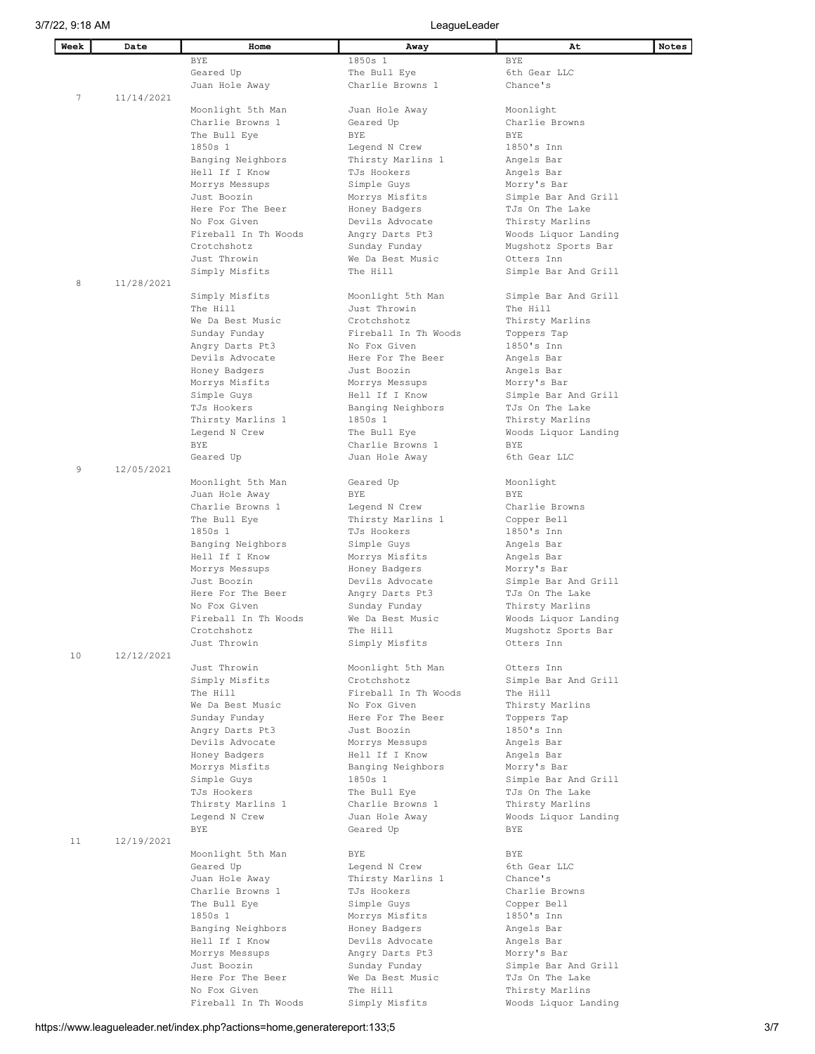| Week | Date       | Home                               | Away                             | At                                  | Notes |
|------|------------|------------------------------------|----------------------------------|-------------------------------------|-------|
|      |            | BYE                                | 1850s 1                          | BYE                                 |       |
|      |            | Geared Up                          | The Bull Eye                     | 6th Gear LLC                        |       |
|      |            | Juan Hole Away                     | Charlie Browns 1                 | Chance's                            |       |
| 7    | 11/14/2021 |                                    |                                  |                                     |       |
|      |            | Moonlight 5th Man                  | Juan Hole Away                   | Moonlight                           |       |
|      |            | Charlie Browns 1                   | Geared Up                        | Charlie Browns                      |       |
|      |            | The Bull Eye                       | BYE                              | <b>BYE</b>                          |       |
|      |            | 1850s 1                            | Legend N Crew                    | 1850's Inn                          |       |
|      |            | Banging Neighbors                  | Thirsty Marlins 1                | Angels Bar                          |       |
|      |            | Hell If I Know                     | TJs Hookers                      | Angels Bar                          |       |
|      |            | Morrys Messups                     | Simple Guys                      | Morry's Bar                         |       |
|      |            | Just Boozin                        | Morrys Misfits                   | Simple Bar And Grill                |       |
|      |            | Here For The Beer                  | Honey Badgers                    | TJs On The Lake                     |       |
|      |            | No Fox Given                       | Devils Advocate                  | Thirsty Marlins                     |       |
|      |            | Fireball In Th Woods               | Angry Darts Pt3                  | Woods Liquor Landing                |       |
|      |            | Crotchshotz                        | Sunday Funday                    | Mugshotz Sports Bar                 |       |
|      |            | Just Throwin<br>Simply Misfits     | We Da Best Music<br>The Hill     | Otters Inn                          |       |
| 8    | 11/28/2021 |                                    |                                  | Simple Bar And Grill                |       |
|      |            | Simply Misfits                     | Moonlight 5th Man                | Simple Bar And Grill                |       |
|      |            | The Hill                           | Just Throwin                     | The Hill                            |       |
|      |            | We Da Best Music                   | Crotchshotz                      | Thirsty Marlins                     |       |
|      |            | Sunday Funday                      | Fireball In Th Woods             | Toppers Tap                         |       |
|      |            | Angry Darts Pt3                    | No Fox Given                     | 1850's Inn                          |       |
|      |            | Devils Advocate                    | Here For The Beer                | Angels Bar                          |       |
|      |            | Honey Badgers                      | Just Boozin                      | Angels Bar                          |       |
|      |            | Morrys Misfits                     | Morrys Messups                   | Morry's Bar                         |       |
|      |            | Simple Guys                        | Hell If I Know                   | Simple Bar And Grill                |       |
|      |            | TJs Hookers                        | Banging Neighbors                | TJs On The Lake                     |       |
|      |            | Thirsty Marlins 1                  | 1850s 1                          | Thirsty Marlins                     |       |
|      |            | Legend N Crew                      | The Bull Eye                     | Woods Liquor Landing                |       |
|      |            | BYE                                | Charlie Browns 1                 | BYE                                 |       |
|      |            | Geared Up                          | Juan Hole Away                   | 6th Gear LLC                        |       |
| 9    | 12/05/2021 |                                    |                                  |                                     |       |
|      |            | Moonlight 5th Man                  | Geared Up                        | Moonlight                           |       |
|      |            | Juan Hole Away                     | BYE                              | <b>BYE</b>                          |       |
|      |            | Charlie Browns 1                   | Legend N Crew                    | Charlie Browns                      |       |
|      |            | The Bull Eye<br>1850s 1            | Thirsty Marlins 1<br>TJs Hookers | Copper Bell<br>1850's Inn           |       |
|      |            | Banging Neighbors                  | Simple Guys                      | Angels Bar                          |       |
|      |            | Hell If I Know                     | Morrys Misfits                   | Angels Bar                          |       |
|      |            | Morrys Messups                     | Honey Badgers                    | Morry's Bar                         |       |
|      |            | Just Boozin                        | Devils Advocate                  | Simple Bar And Grill                |       |
|      |            | Here For The Beer                  | Angry Darts Pt3                  | TJs On The Lake                     |       |
|      |            | No Fox Given                       | Sunday Funday                    | Thirsty Marlins                     |       |
|      |            | Fireball In Th Woods               | We Da Best Music                 | Woods Liquor Landing                |       |
|      |            | Crotchshotz                        | The Hill                         | Mugshotz Sports Bar                 |       |
|      |            | Just Throwin                       | Simply Misfits                   | Otters Inn                          |       |
| 10   | 12/12/2021 |                                    |                                  |                                     |       |
|      |            | Just Throwin                       | Moonlight 5th Man                | Otters Inn                          |       |
|      |            | Simply Misfits                     | Crotchshotz                      | Simple Bar And Grill                |       |
|      |            | The Hill                           | Fireball In Th Woods             | The Hill                            |       |
|      |            | We Da Best Music                   | No Fox Given                     | Thirsty Marlins                     |       |
|      |            | Sunday Funday                      | Here For The Beer                | Toppers Tap                         |       |
|      |            | Angry Darts Pt3<br>Devils Advocate | Just Boozin                      | 1850's Inn                          |       |
|      |            | Honey Badgers                      | Morrys Messups<br>Hell If I Know | Angels Bar<br>Angels Bar            |       |
|      |            | Morrys Misfits                     | Banging Neighbors                | Morry's Bar                         |       |
|      |            | Simple Guys                        | 1850s 1                          | Simple Bar And Grill                |       |
|      |            | TJs Hookers                        | The Bull Eye                     | TJs On The Lake                     |       |
|      |            | Thirsty Marlins 1                  | Charlie Browns 1                 | Thirsty Marlins                     |       |
|      |            | Legend N Crew                      | Juan Hole Away                   | Woods Liquor Landing                |       |
|      |            | <b>BYE</b>                         | Geared Up                        | BYE                                 |       |
| 11   | 12/19/2021 |                                    |                                  |                                     |       |
|      |            | Moonlight 5th Man                  | BYE                              | BYE                                 |       |
|      |            | Geared Up                          | Legend N Crew                    | 6th Gear LLC                        |       |
|      |            | Juan Hole Away                     | Thirsty Marlins 1                | Chance's                            |       |
|      |            | Charlie Browns 1                   | TJs Hookers                      | Charlie Browns                      |       |
|      |            | The Bull Eye                       | Simple Guys                      | Copper Bell                         |       |
|      |            | 1850s 1                            | Morrys Misfits                   | 1850's Inn                          |       |
|      |            | Banging Neighbors                  | Honey Badgers                    | Angels Bar                          |       |
|      |            | Hell If I Know                     | Devils Advocate                  | Angels Bar                          |       |
|      |            | Morrys Messups<br>Just Boozin      | Angry Darts Pt3<br>Sunday Funday | Morry's Bar<br>Simple Bar And Grill |       |
|      |            | Here For The Beer                  | We Da Best Music                 | TJs On The Lake                     |       |
|      |            | No Fox Given                       | The Hill                         | Thirsty Marlins                     |       |
|      |            | Fireball In Th Woods               | Simply Misfits                   | Woods Liquor Landing                |       |
|      |            |                                    |                                  |                                     |       |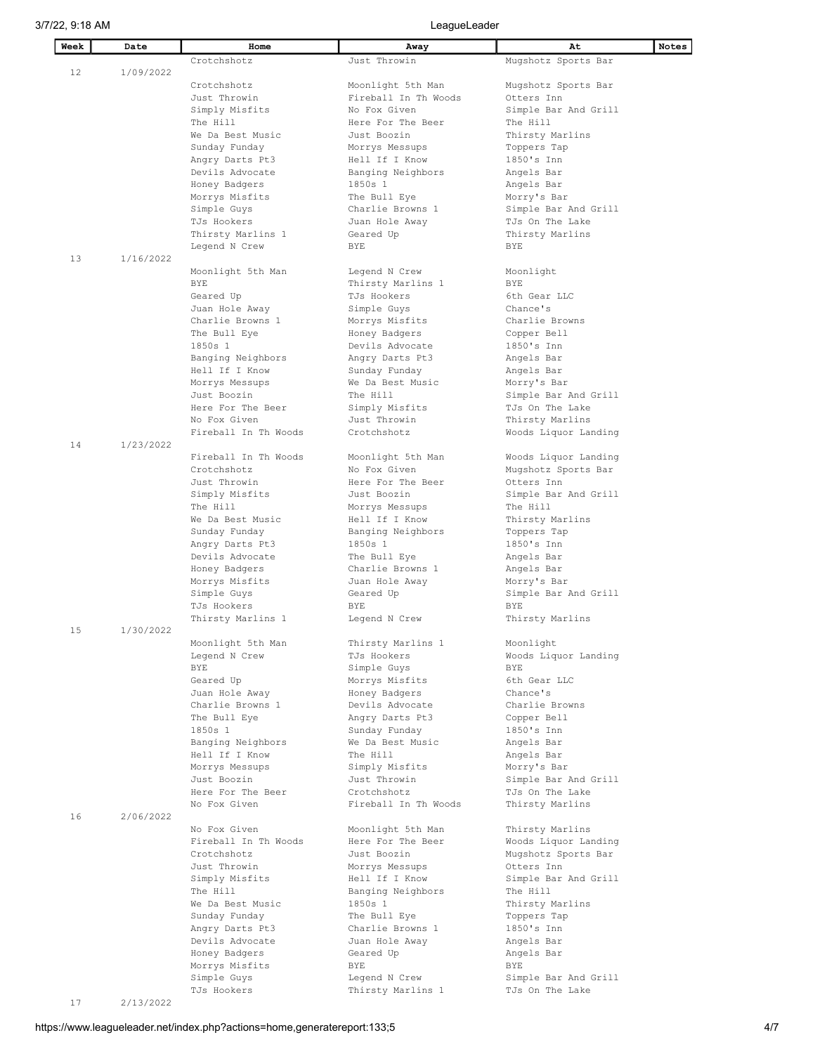3/7/22, 9:18 AM LeagueLeader

| Week | Date      | Home                            | Away                 | At                   | Notes |
|------|-----------|---------------------------------|----------------------|----------------------|-------|
|      |           | Crotchshotz                     | Just Throwin         | Mugshotz Sports Bar  |       |
| 12   | 1/09/2022 |                                 |                      |                      |       |
|      |           | Crotchshotz                     | Moonlight 5th Man    | Mugshotz Sports Bar  |       |
|      |           | Just Throwin                    | Fireball In Th Woods | Otters Inn           |       |
|      |           | Simply Misfits                  | No Fox Given         | Simple Bar And Grill |       |
|      |           | The Hill                        | Here For The Beer    | The Hill             |       |
|      |           | We Da Best Music                | Just Boozin          | Thirsty Marlins      |       |
|      |           |                                 |                      |                      |       |
|      |           | Sunday Funday                   | Morrys Messups       | Toppers Tap          |       |
|      |           | Angry Darts Pt3                 | Hell If I Know       | 1850's Inn           |       |
|      |           | Devils Advocate                 | Banging Neighbors    | Angels Bar           |       |
|      |           | Honey Badgers                   | 1850s 1              | Angels Bar           |       |
|      |           | Morrys Misfits                  | The Bull Eye         | Morry's Bar          |       |
|      |           | Simple Guys                     | Charlie Browns 1     | Simple Bar And Grill |       |
|      |           | TJs Hookers                     | Juan Hole Away       | TJs On The Lake      |       |
|      |           | Thirsty Marlins 1               | Geared Up            | Thirsty Marlins      |       |
|      |           | Legend N Crew                   | BYE                  | <b>BYE</b>           |       |
| 13   | 1/16/2022 |                                 |                      |                      |       |
|      |           | Moonlight 5th Man               | Legend N Crew        | Moonlight            |       |
|      |           | <b>BYE</b>                      | Thirsty Marlins 1    | <b>BYE</b>           |       |
|      |           | Geared Up                       | TJs Hookers          | 6th Gear LLC         |       |
|      |           | Juan Hole Away                  | Simple Guys          | Chance's             |       |
|      |           | Charlie Browns 1                | Morrys Misfits       | Charlie Browns       |       |
|      |           | The Bull Eye                    | Honey Badgers        | Copper Bell          |       |
|      |           | 1850s 1                         | Devils Advocate      | $1850's$ Inn         |       |
|      |           | Banging Neighbors               | Angry Darts Pt3      | Angels Bar           |       |
|      |           | Hell If I Know                  | Sunday Funday        | Angels Bar           |       |
|      |           | Morrys Messups                  | We Da Best Music     | Morry's Bar          |       |
|      |           | Just Boozin                     | The Hill             | Simple Bar And Grill |       |
|      |           | Here For The Beer               | Simply Misfits       | TJs On The Lake      |       |
|      |           | No Fox Given                    | Just Throwin         | Thirsty Marlins      |       |
|      |           | Fireball In Th Woods            | Crotchshotz          | Woods Liquor Landing |       |
| 14   | 1/23/2022 |                                 |                      |                      |       |
|      |           | Fireball In Th Woods            | Moonlight 5th Man    | Woods Liquor Landing |       |
|      |           | Crotchshotz                     | No Fox Given         | Mugshotz Sports Bar  |       |
|      |           | Just Throwin                    | Here For The Beer    | Otters Inn           |       |
|      |           | Simply Misfits                  | Just Boozin          | Simple Bar And Grill |       |
|      |           | The Hill                        | Morrys Messups       | The Hill             |       |
|      |           | We Da Best Music                | Hell If I Know       | Thirsty Marlins      |       |
|      |           | Sunday Funday                   | Banging Neighbors    | Toppers Tap          |       |
|      |           | Angry Darts Pt3                 | 1850s 1              | 1850's Inn           |       |
|      |           | Devils Advocate                 | The Bull Eye         | Angels Bar           |       |
|      |           | Honey Badgers                   | Charlie Browns 1     | Angels Bar           |       |
|      |           | Morrys Misfits                  | Juan Hole Away       | Morry's Bar          |       |
|      |           | Simple Guys                     | Geared Up            | Simple Bar And Grill |       |
|      |           | TJs Hookers                     | BYE                  | BYE                  |       |
|      |           | Thirsty Marlins 1               | Legend N Crew        | Thirsty Marlins      |       |
| 15   | 1/30/2022 |                                 |                      |                      |       |
|      |           | Moonlight 5th Man               | Thirsty Marlins 1    | Moonlight            |       |
|      |           | Legend N Crew                   | TJs Hookers          | Woods Liquor Landing |       |
|      |           | BYE                             | Simple Guys          | BYE                  |       |
|      |           | Geared Up                       | Morrys Misfits       | 6th Gear LLC         |       |
|      |           | Juan Hole Away                  | Honey Badgers        | Chance's             |       |
|      |           | Charlie Browns 1                | Devils Advocate      | Charlie Browns       |       |
|      |           | The Bull Eye                    | Angry Darts Pt3      | Copper Bell          |       |
|      |           | 1850s 1                         | Sunday Funday        | 1850's Inn           |       |
|      |           | Banging Neighbors               | We Da Best Music     | Angels Bar           |       |
|      |           | Hell If I Know                  | The Hill             | Angels Bar           |       |
|      |           | Morrys Messups                  | Simply Misfits       | Morry's Bar          |       |
|      |           | Just Boozin                     | Just Throwin         | Simple Bar And Grill |       |
|      |           | Here For The Beer               | Crotchshotz          | TJs On The Lake      |       |
|      |           | No Fox Given                    | Fireball In Th Woods | Thirsty Marlins      |       |
| 16   | 2/06/2022 |                                 |                      |                      |       |
|      |           | No Fox Given                    | Moonlight 5th Man    | Thirsty Marlins      |       |
|      |           | Fireball In Th Woods            | Here For The Beer    | Woods Liquor Landing |       |
|      |           | Crotchshotz                     | Just Boozin          | Mugshotz Sports Bar  |       |
|      |           | Just Throwin                    | Morrys Messups       | Otters Inn           |       |
|      |           | Simply Misfits                  | Hell If I Know       | Simple Bar And Grill |       |
|      |           | The Hill                        | Banging Neighbors    | The Hill             |       |
|      |           | We Da Best Music                | 1850s 1              | Thirsty Marlins      |       |
|      |           | Sunday Funday                   | The Bull Eye         | Toppers Tap          |       |
|      |           | Angry Darts Pt3                 | Charlie Browns 1     | 1850's Inn           |       |
|      |           | Devils Advocate                 | Juan Hole Away       | Angels Bar           |       |
|      |           | Honey Badgers<br>Morrys Misfits | Geared Up<br>BYE     | Angels Bar<br>BYE    |       |
|      |           | Simple Guys                     | Legend N Crew        | Simple Bar And Grill |       |
|      |           | TJs Hookers                     | Thirsty Marlins 1    | TJs On The Lake      |       |
|      |           |                                 |                      |                      |       |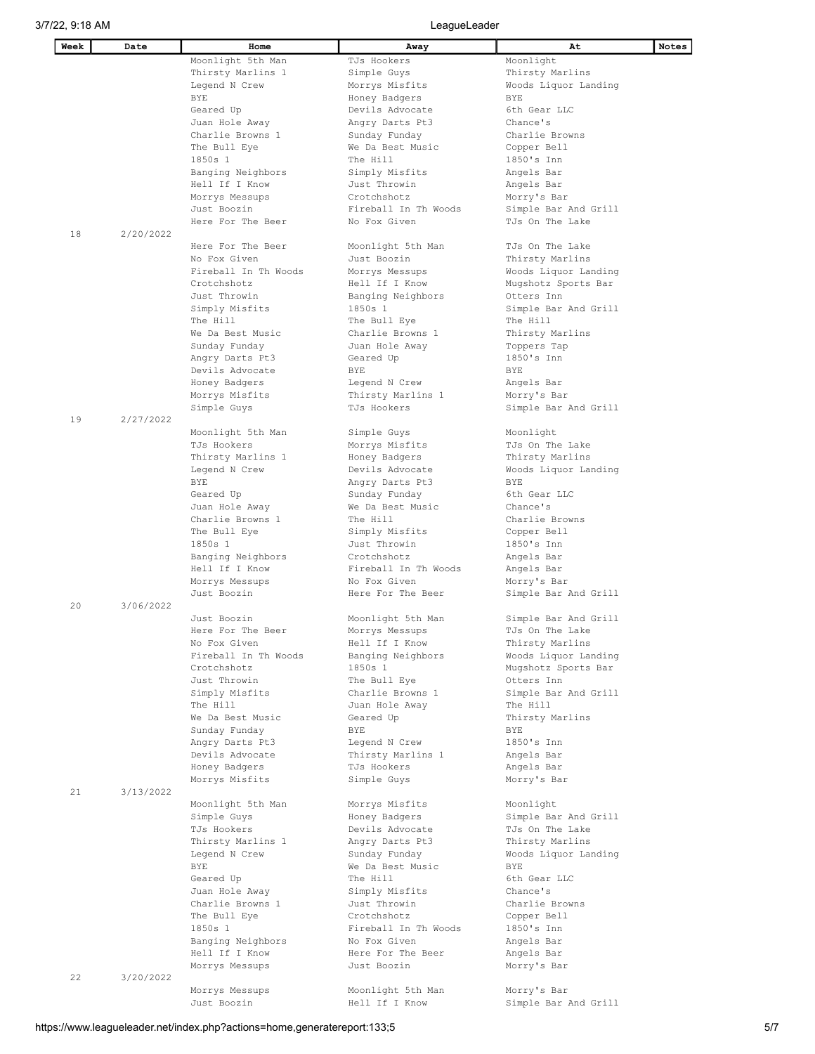$\mathsf{l}$ 

| Week | Date      | Home                 | Away                 | At                   | Notes |
|------|-----------|----------------------|----------------------|----------------------|-------|
|      |           | Moonlight 5th Man    | TJs Hookers          | Moonlight            |       |
|      |           | Thirsty Marlins 1    | Simple Guys          | Thirsty Marlins      |       |
|      |           | Legend N Crew        | Morrys Misfits       | Woods Liquor Landing |       |
|      |           | BYE                  | Honey Badgers        | <b>BYE</b>           |       |
|      |           | Geared Up            | Devils Advocate      | 6th Gear LLC         |       |
|      |           | Juan Hole Away       | Angry Darts Pt3      | Chance's             |       |
|      |           | Charlie Browns 1     | Sunday Funday        | Charlie Browns       |       |
|      |           | The Bull Eye         | We Da Best Music     | Copper Bell          |       |
|      |           | 1850s 1              | The Hill             | 1850's Inn           |       |
|      |           | Banging Neighbors    | Simply Misfits       | Angels Bar           |       |
|      |           | Hell If I Know       | Just Throwin         | Angels Bar           |       |
|      |           | Morrys Messups       | Crotchshotz          | Morry's Bar          |       |
|      |           | Just Boozin          | Fireball In Th Woods | Simple Bar And Grill |       |
|      |           | Here For The Beer    | No Fox Given         | TJs On The Lake      |       |
| 18   | 2/20/2022 |                      |                      |                      |       |
|      |           | Here For The Beer    | Moonlight 5th Man    | TJs On The Lake      |       |
|      |           | No Fox Given         | Just Boozin          | Thirsty Marlins      |       |
|      |           | Fireball In Th Woods | Morrys Messups       | Woods Liquor Landing |       |
|      |           | Crotchshotz          | Hell If I Know       | Mugshotz Sports Bar  |       |
|      |           | Just Throwin         | Banging Neighbors    | Otters Inn           |       |
|      |           | Simply Misfits       | 1850s 1              | Simple Bar And Grill |       |
|      |           | The Hill             | The Bull Eye         | The Hill             |       |
|      |           | We Da Best Music     | Charlie Browns 1     | Thirsty Marlins      |       |
|      |           | Sunday Funday        | Juan Hole Away       | Toppers Tap          |       |
|      |           | Angry Darts Pt3      | Geared Up            | 1850's Inn           |       |
|      |           | Devils Advocate      | BYE                  | <b>BYE</b>           |       |
|      |           | Honey Badgers        | Legend N Crew        | Angels Bar           |       |
|      |           | Morrys Misfits       | Thirsty Marlins 1    | Morry's Bar          |       |
|      |           | Simple Guys          | TJs Hookers          | Simple Bar And Grill |       |
| 19   | 2/27/2022 |                      |                      |                      |       |
|      |           | Moonlight 5th Man    | Simple Guys          | Moonlight            |       |
|      |           | TJs Hookers          | Morrys Misfits       | TJs On The Lake      |       |
|      |           |                      |                      |                      |       |
|      |           | Thirsty Marlins 1    | Honey Badgers        | Thirsty Marlins      |       |
|      |           | Legend N Crew        | Devils Advocate      | Woods Liquor Landing |       |
|      |           | BYE                  | Angry Darts Pt3      | <b>BYE</b>           |       |
|      |           | Geared Up            | Sunday Funday        | 6th Gear LLC         |       |
|      |           | Juan Hole Away       | We Da Best Music     | Chance's             |       |
|      |           | Charlie Browns 1     | The Hill             | Charlie Browns       |       |
|      |           | The Bull Eye         | Simply Misfits       | Copper Bell          |       |
|      |           | 1850s 1              | Just Throwin         | 1850's Inn           |       |
|      |           | Banging Neighbors    | Crotchshotz          | Angels Bar           |       |
|      |           | Hell If I Know       | Fireball In Th Woods | Angels Bar           |       |
|      |           | Morrys Messups       | No Fox Given         | Morry's Bar          |       |
|      |           | Just Boozin          | Here For The Beer    | Simple Bar And Grill |       |
| 20   | 3/06/2022 |                      |                      |                      |       |
|      |           | Just Boozin          | Moonlight 5th Man    | Simple Bar And Grill |       |
|      |           | Here For The Beer    | Morrys Messups       | TJs On The Lake      |       |
|      |           | No Fox Given         | Hell If I Know       | Thirsty Marlins      |       |
|      |           | Fireball In Th Woods | Banging Neighbors    | Woods Liquor Landing |       |
|      |           | Crotchshotz          | 1850s 1              | Mugshotz Sports Bar  |       |
|      |           | Just Throwin         | The Bull Eye         | Otters Inn           |       |
|      |           | Simply Misfits       | Charlie Browns 1     | Simple Bar And Grill |       |
|      |           | The Hill             | Juan Hole Away       | The Hill             |       |
|      |           | We Da Best Music     | Geared Up            | Thirsty Marlins      |       |
|      |           | Sunday Funday        | BYE                  | BYE                  |       |
|      |           | Angry Darts Pt3      | Legend N Crew        | 1850's Inn           |       |
|      |           | Devils Advocate      | Thirsty Marlins 1    | Angels Bar           |       |
|      |           | Honey Badgers        | TJs Hookers          | Angels Bar           |       |
|      |           | Morrys Misfits       | Simple Guys          | Morry's Bar          |       |
| 21   | 3/13/2022 |                      |                      |                      |       |
|      |           |                      |                      |                      |       |
|      |           | Moonlight 5th Man    | Morrys Misfits       | Moonlight            |       |
|      |           | Simple Guys          | Honey Badgers        | Simple Bar And Grill |       |
|      |           | TJs Hookers          | Devils Advocate      | TJs On The Lake      |       |
|      |           | Thirsty Marlins 1    | Angry Darts Pt3      | Thirsty Marlins      |       |
|      |           | Legend N Crew        | Sunday Funday        | Woods Liquor Landing |       |
|      |           | BYE                  | We Da Best Music     | BYE                  |       |
|      |           | Geared Up            | The Hill             | 6th Gear LLC         |       |
|      |           | Juan Hole Away       | Simply Misfits       | Chance's             |       |
|      |           | Charlie Browns 1     | Just Throwin         | Charlie Browns       |       |
|      |           | The Bull Eye         | Crotchshotz          | Copper Bell          |       |
|      |           | 1850s 1              | Fireball In Th Woods | 1850's Inn           |       |
|      |           | Banging Neighbors    | No Fox Given         | Angels Bar           |       |
|      |           | Hell If I Know       | Here For The Beer    | Angels Bar           |       |
|      |           | Morrys Messups       | Just Boozin          | Morry's Bar          |       |
| 22   | 3/20/2022 |                      |                      |                      |       |
|      |           | Morrys Messups       | Moonlight 5th Man    | Morry's Bar          |       |
|      |           | Just Boozin          | Hell If I Know       | Simple Bar And Grill |       |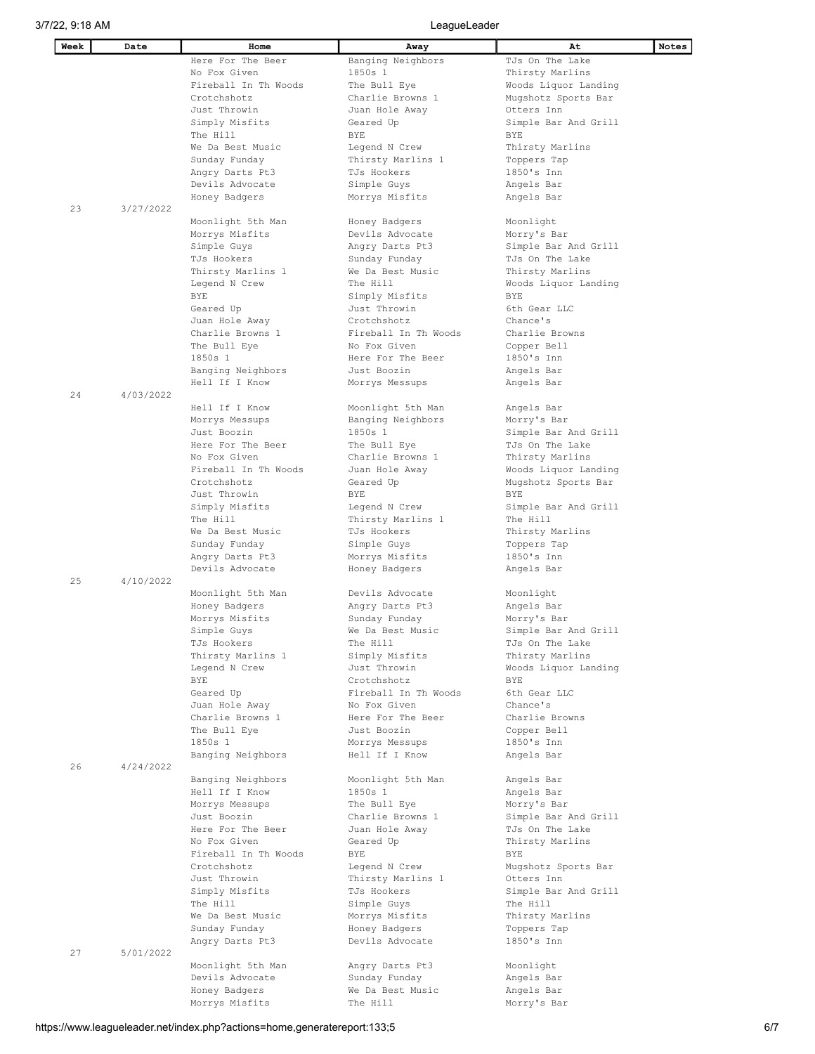| Week | Date      | Home                 | Away                                   | At                        | Notes |
|------|-----------|----------------------|----------------------------------------|---------------------------|-------|
|      |           | Here For The Beer    | Banging Neighbors                      | TJs On The Lake           |       |
|      |           | No Fox Given         | 1850s 1                                | Thirsty Marlins           |       |
|      |           | Fireball In Th Woods | The Bull Eye                           | Woods Liquor Landing      |       |
|      |           | Crotchshotz          | Charlie Browns 1                       | Mugshotz Sports Bar       |       |
|      |           | Just Throwin         | Juan Hole Away                         | Otters Inn                |       |
|      |           | Simply Misfits       | Geared Up                              | Simple Bar And Grill      |       |
|      |           | The Hill             | BYE                                    | <b>BYE</b>                |       |
|      |           | We Da Best Music     | Legend N Crew                          | Thirsty Marlins           |       |
|      |           |                      |                                        |                           |       |
|      |           | Sunday Funday        | Thirsty Marlins 1                      | Toppers Tap               |       |
|      |           | Angry Darts Pt3      | TJs Hookers                            | 1850's Inn                |       |
|      |           | Devils Advocate      | Simple Guys                            | Angels Bar                |       |
|      |           | Honey Badgers        | Morrys Misfits                         | Angels Bar                |       |
| 23   | 3/27/2022 |                      |                                        |                           |       |
|      |           | Moonlight 5th Man    | Honey Badgers                          | Moonlight                 |       |
|      |           | Morrys Misfits       | Devils Advocate                        | Morry's Bar               |       |
|      |           | Simple Guys          | Angry Darts Pt3                        | Simple Bar And Grill      |       |
|      |           | TJs Hookers          | Sunday Funday                          | TJs On The Lake           |       |
|      |           | Thirsty Marlins 1    | We Da Best Music                       | Thirsty Marlins           |       |
|      |           | Legend N Crew        | The Hill                               | Woods Liquor Landing      |       |
|      |           | BYE                  | Simply Misfits                         | <b>BYE</b>                |       |
|      |           | Geared Up            | Just Throwin                           | 6th Gear LLC              |       |
|      |           | Juan Hole Away       | Crotchshotz                            | Chance's                  |       |
|      |           | Charlie Browns 1     | Fireball In Th Woods                   | Charlie Browns            |       |
|      |           | The Bull Eye         | No Fox Given                           | Copper Bell               |       |
|      |           | 1850s 1              | Here For The Beer                      | 1850's Inn                |       |
|      |           | Banging Neighbors    | Just Boozin                            | Angels Bar                |       |
|      |           | Hell If I Know       | Morrys Messups                         | Angels Bar                |       |
| 24   | 4/03/2022 |                      |                                        |                           |       |
|      |           | Hell If I Know       |                                        |                           |       |
|      |           |                      | Moonlight 5th Man<br>Banging Neighbors | Angels Bar<br>Morry's Bar |       |
|      |           | Morrys Messups       |                                        |                           |       |
|      |           | Just Boozin          | 1850s 1                                | Simple Bar And Grill      |       |
|      |           | Here For The Beer    | The Bull Eye                           | TJs On The Lake           |       |
|      |           | No Fox Given         | Charlie Browns 1                       | Thirsty Marlins           |       |
|      |           | Fireball In Th Woods | Juan Hole Away                         | Woods Liquor Landing      |       |
|      |           | Crotchshotz          | Geared Up                              | Mugshotz Sports Bar       |       |
|      |           | Just Throwin         | BYE                                    | BYE                       |       |
|      |           | Simply Misfits       | Legend N Crew                          | Simple Bar And Grill      |       |
|      |           | The Hill             | Thirsty Marlins 1                      | The Hill                  |       |
|      |           | We Da Best Music     | TJs Hookers                            | Thirsty Marlins           |       |
|      |           | Sunday Funday        | Simple Guys                            | Toppers Tap               |       |
|      |           | Angry Darts Pt3      | Morrys Misfits                         | 1850's Inn                |       |
|      |           | Devils Advocate      | Honey Badgers                          | Angels Bar                |       |
| 25   | 4/10/2022 |                      |                                        |                           |       |
|      |           | Moonlight 5th Man    | Devils Advocate                        | Moonlight                 |       |
|      |           | Honey Badgers        | Angry Darts Pt3                        | Angels Bar                |       |
|      |           | Morrys Misfits       | Sunday Funday                          | Morry's Bar               |       |
|      |           | Simple Guys          | We Da Best Music                       | Simple Bar And Grill      |       |
|      |           | TJs Hookers          | The Hill                               | TJs On The Lake           |       |
|      |           | Thirsty Marlins 1    | Simply Misfits                         | Thirsty Marlins           |       |
|      |           | Legend N Crew        | Just Throwin                           | Woods Liquor Landing      |       |
|      |           | BYE                  | Crotchshotz                            | BYE                       |       |
|      |           | Geared Up            | Fireball In Th Woods                   | 6th Gear LLC              |       |
|      |           |                      |                                        | Chance's                  |       |
|      |           | Juan Hole Away       | No Fox Given                           |                           |       |
|      |           | Charlie Browns 1     | Here For The Beer                      | Charlie Browns            |       |
|      |           | The Bull Eye         | Just Boozin                            | Copper Bell               |       |
|      |           | 1850s 1              | Morrys Messups                         | 1850's Inn                |       |
|      |           | Banging Neighbors    | Hell If I Know                         | Angels Bar                |       |
| 26   | 4/24/2022 |                      |                                        |                           |       |
|      |           | Banging Neighbors    | Moonlight 5th Man                      | Angels Bar                |       |
|      |           | Hell If I Know       | 1850s 1                                | Angels Bar                |       |
|      |           | Morrys Messups       | The Bull Eye                           | Morry's Bar               |       |
|      |           | Just Boozin          | Charlie Browns 1                       | Simple Bar And Grill      |       |
|      |           | Here For The Beer    | Juan Hole Away                         | TJs On The Lake           |       |
|      |           | No Fox Given         | Geared Up                              | Thirsty Marlins           |       |
|      |           | Fireball In Th Woods | BYE                                    | BYE                       |       |
|      |           | Crotchshotz          | Legend N Crew                          | Mugshotz Sports Bar       |       |
|      |           | Just Throwin         | Thirsty Marlins 1                      | Otters Inn                |       |
|      |           | Simply Misfits       | TJs Hookers                            | Simple Bar And Grill      |       |
|      |           | The Hill             | Simple Guys                            | The Hill                  |       |
|      |           | We Da Best Music     | Morrys Misfits                         | Thirsty Marlins           |       |
|      |           | Sunday Funday        | Honey Badgers                          | Toppers Tap               |       |
|      |           | Angry Darts Pt3      | Devils Advocate                        | 1850's Inn                |       |
| 27   | 5/01/2022 |                      |                                        |                           |       |
|      |           |                      |                                        |                           |       |
|      |           | Moonlight 5th Man    | Angry Darts Pt3                        | Moonlight                 |       |
|      |           | Devils Advocate      | Sunday Funday                          | Angels Bar                |       |
|      |           | Honey Badgers        | We Da Best Music                       | Angels Bar                |       |
|      |           | Morrys Misfits       | The Hill                               | Morry's Bar               |       |